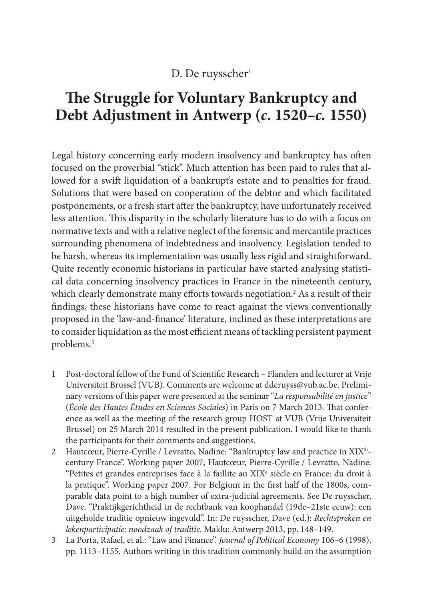## D. De ruysscher<sup>1</sup>

# **Te Struggle for Voluntary Bankruptcy and Debt Adjustment in Antwerp (c. 1520–c. 1550)**

Legal history concerning early modern insolvency and bankruptcy has ofen focused on the proverbial "stick". Much attention has been paid to rules that allowed for a swift liquidation of a bankrupt's estate and to penalties for fraud. Solutions that were based on cooperation of the debtor and which facilitated postponements, or a fresh start afer the bankruptcy, have unfortunately received less attention. This disparity in the scholarly literature has to do with a focus on normative texts and with a relative neglect of the forensic and mercantile practices surrounding phenomena of indebtedness and insolvency. Legislation tended to be harsh, whereas its implementation was usually less rigid and straightforward. Quite recently economic historians in particular have started analysing statistical data concerning insolvency practices in France in the nineteenth century, which clearly demonstrate many efforts towards negotiation.<sup>2</sup> As a result of their fndings, these historians have come to react against the views conventionally proposed in the 'law-and-fnance' literature, inclined as these interpretations are to consider liquidation as the most efficient means of tackling persistent payment problems. 3

<sup>1</sup> Post-doctoral fellow of the Fund of Scientifc Research – Flanders and lecturer at Vrije Universiteit Brussel (VUB). Comments are welcome at dderuyss@vub.ac.be. Preliminary versions of this paper were presented at the seminar "La responsabilité en justice" (École des Hautes Études en Sciences Sociales) in Paris on 7 March 2013. That conference as well as the meeting of the research group HOST at VUB (Vrije Universiteit Brussel) on 25 March 2014 resulted in the present publication. I would like to thank the participants for their comments and suggestions.

<sup>2</sup> Hautcœur, Pierre-Cyrille / Levratto, Nadine: "Bankruptcy law and practice in XIX<sup>th</sup>century France". Working paper 2007; Hautcœur, Pierre-Cyrille / Levratto, Nadine: "Petites et grandes entreprises face à la faillite au XIX<sup>e</sup> siècle en France: du droit à la pratique". Working paper 2007. For Belgium in the frst half of the 1800s, comparable data point to a high number of extra-judicial agreements. See De ruysscher, Dave. "Praktijkgerichtheid in de rechtbank van koophandel (19de–21ste eeuw): een uitgeholde traditie opnieuw ingevuld". In: De ruysscher, Dave (ed.): Rechtspreken en lekenparticipatie: noodzaak of traditie. Maklu: Antwerp 2013, pp. 148–149.

<sup>3</sup> La Porta, Rafael, et al.: "Law and Finance". Journal of Political Economy 106–6 (1998), pp. 1113–1155. Authors writing in this tradition commonly build on the assumption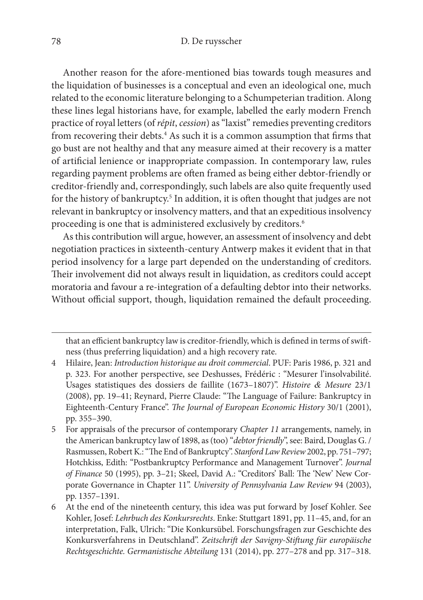Another reason for the afore-mentioned bias towards tough measures and the liquidation of businesses is a conceptual and even an ideological one, much related to the economic literature belonging to a Schumpeterian tradition. Along these lines legal historians have, for example, labelled the early modern French practice of royal letters (of répit, cession) as "laxist" remedies preventing creditors from recovering their debts. 4 As such it is a common assumption that frms that go bust are not healthy and that any measure aimed at their recovery is a matter of artifcial lenience or inappropriate compassion. In contemporary law, rules regarding payment problems are ofen framed as being either debtor-friendly or creditor-friendly and, correspondingly, such labels are also quite frequently used for the history of bankruptcy. 5 In addition, it is ofen thought that judges are not relevant in bankruptcy or insolvency matters, and that an expeditious insolvency proceeding is one that is administered exclusively by creditors. 6

As this contribution will argue, however, an assessment of insolvency and debt negotiation practices in sixteenth-century Antwerp makes it evident that in that period insolvency for a large part depended on the understanding of creditors. Their involvement did not always result in liquidation, as creditors could accept moratoria and favour a re-integration of a defaulting debtor into their networks. Without official support, though, liquidation remained the default proceeding.

that an efficient bankruptcy law is creditor-friendly, which is defined in terms of swiftness (thus preferring liquidation) and a high recovery rate.

<sup>4</sup> Hilaire, Jean: Introduction historique au droit commercial. PUF: Paris 1986, p. 321 and p. 323. For another perspective, see Deshusses, Frédéric : "Mesurer l'insolvabilité. Usages statistiques des dossiers de faillite (1673–1807)". Histoire *&* Mesure 23/1 (2008), pp. 19-41; Reynard, Pierre Claude: "The Language of Failure: Bankruptcy in Eighteenth-Century France". The Journal of European Economic History 30/1 (2001), pp. 355–390.

<sup>5</sup> For appraisals of the precursor of contemporary Chapter 11 arrangements, namely, in the American bankruptcy law of 1898, as (too) "debtor friendly", see: Baird, Douglas G. / Rasmussen, Robert K.: "The End of Bankruptcy". Stanford Law Review 2002, pp. 751-797; Hotchkiss, Edith: "Postbankruptcy Performance and Management Turnover". Journal of Finance 50 (1995), pp. 3-21; Skeel, David A.: "Creditors' Ball: The 'New' New Corporate Governance in Chapter 11". University of Pennsylvania Law Review 94 (2003), pp. 1357–1391.

<sup>6</sup> At the end of the nineteenth century, this idea was put forward by Josef Kohler. See Kohler, Josef: Lehrbuch des Konkursrechts. Enke: Stuttgart 1891, pp. 11–45, and, for an interpretation, Falk, Ulrich: "Die Konkursübel. Forschungsfragen zur Geschichte des Konkursverfahrens in Deutschland". Zeitschrif der Savigny-Stifung für europäische Rechtsgeschichte. Germanistische Abteilung 131 (2014), pp. 277–278 and pp. 317–318.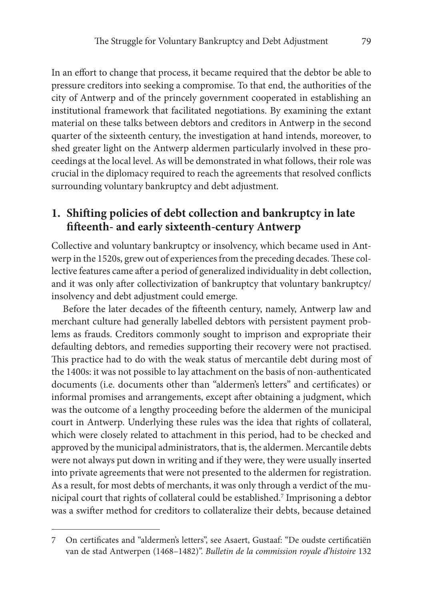In an efort to change that process, it became required that the debtor be able to pressure creditors into seeking a compromise. To that end, the authorities of the city of Antwerp and of the princely government cooperated in establishing an institutional framework that facilitated negotiations. By examining the extant material on these talks between debtors and creditors in Antwerp in the second quarter of the sixteenth century, the investigation at hand intends, moreover, to shed greater light on the Antwerp aldermen particularly involved in these proceedings at the local level. As will be demonstrated in what follows, their role was crucial in the diplomacy required to reach the agreements that resolved conficts surrounding voluntary bankruptcy and debt adjustment.

## **1. Shifing policies of debt collection and bankruptcy in late ffeenth- and early sixteenth-century Antwerp**

Collective and voluntary bankruptcy or insolvency, which became used in Antwerp in the 1520s, grew out of experiences from the preceding decades. These collective features came after a period of generalized individuality in debt collection, and it was only afer collectivization of bankruptcy that voluntary bankruptcy/ insolvency and debt adjustment could emerge.

Before the later decades of the fifteenth century, namely, Antwerp law and merchant culture had generally labelled debtors with persistent payment problems as frauds. Creditors commonly sought to imprison and expropriate their defaulting debtors, and remedies supporting their recovery were not practised. This practice had to do with the weak status of mercantile debt during most of the 1400s: it was not possible to lay attachment on the basis of non-authenticated documents (i.e. documents other than "aldermen's letters" and certifcates) or informal promises and arrangements, except after obtaining a judgment, which was the outcome of a lengthy proceeding before the aldermen of the municipal court in Antwerp. Underlying these rules was the idea that rights of collateral, which were closely related to attachment in this period, had to be checked and approved by the municipal administrators, that is, the aldermen. Mercantile debts were not always put down in writing and if they were, they were usually inserted into private agreements that were not presented to the aldermen for registration. As a result, for most debts of merchants, it was only through a verdict of the municipal court that rights of collateral could be established. 7 Imprisoning a debtor was a swifer method for creditors to collateralize their debts, because detained

<sup>7</sup> On certifcates and "aldermen's letters", see Asaert, Gustaaf: "De oudste certifcatiën van de stad Antwerpen (1468–1482)". Bulletin de la commission royale d'histoire 132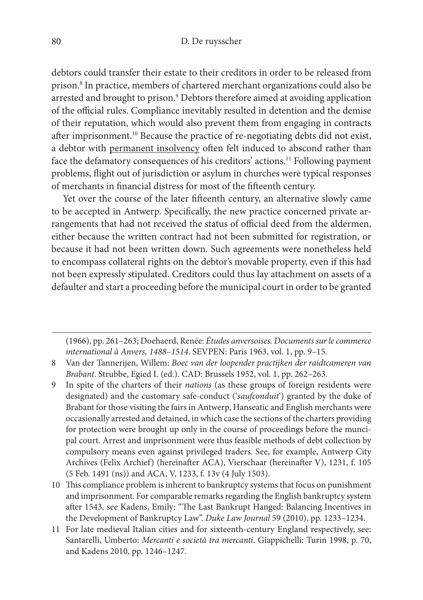debtors could transfer their estate to their creditors in order to be released from prison. 8 In practice, members of chartered merchant organizations could also be arrested and brought to prison. 9 Debtors therefore aimed at avoiding application of the official rules. Compliance inevitably resulted in detention and the demise of their reputation, which would also prevent them from engaging in contracts afer imprisonment. 10 Because the practice of re-negotiating debts did not exist, a debtor with permanent insolvency ofen felt induced to abscond rather than face the defamatory consequences of his creditors' actions. 11 Following payment problems, fight out of jurisdiction or asylum in churches were typical responses of merchants in fnancial distress for most of the ffeenth century.

Yet over the course of the later fifteenth century, an alternative slowly came to be accepted in Antwerp. Specifcally, the new practice concerned private arrangements that had not received the status of official deed from the aldermen, either because the written contract had not been submitted for registration, or because it had not been written down. Such agreements were nonetheless held to encompass collateral rights on the debtor's movable property, even if this had not been expressly stipulated. Creditors could thus lay attachment on assets of a defaulter and start a proceeding before the municipal court in order to be granted

(1966), pp. 261–263; Doehaerd, Renée: Études anversoises. Documents sur le commerce international à Anvers, 1488–1514. SEVPEN: Paris 1963, vol. 1, pp. 9–15.

- 8 Van der Tannerijen, Willem: Boec van der loopender practijken der raidtcameren van Brabant. Strubbe, Egied I. (ed.). CAD: Brussels 1952, vol. 1, pp. 262–263.
- 9 In spite of the charters of their nations (as these groups of foreign residents were designated) and the customary safe-conduct ('saufconduit') granted by the duke of Brabant for those visiting the fairs in Antwerp, Hanseatic and English merchants were occasionally arrested and detained, in which case the sections of the charters providing for protection were brought up only in the course of proceedings before the muncipal court. Arrest and imprisonment were thus feasible methods of debt collection by compulsory means even against privileged traders. See, for example, Antwerp City Archives (Felix Archief) (hereinafter ACA), Vierschaar (hereinafter V), 1231, f. 105 (5 Feb. 1491 (ns)) and ACA, V, 1233, f. 13v (4 July 1503).
- 10 Tis compliance problem is inherent to bankruptcy systems that focus on punishment and imprisonment. For comparable remarks regarding the English bankruptcy system after 1543, see Kadens, Emily: "The Last Bankrupt Hanged: Balancing Incentives in the Development of Bankruptcy Law". Duke Law Journal 59 (2010), pp. 1233–1234.
- 11 For late medieval Italian cities and for sixteenth-century England respectively, see: Santarelli, Umberto: Mercanti e società tra mercanti. Giappichelli: Turin 1998, p. 70, and Kadens 2010, pp. 1246–1247.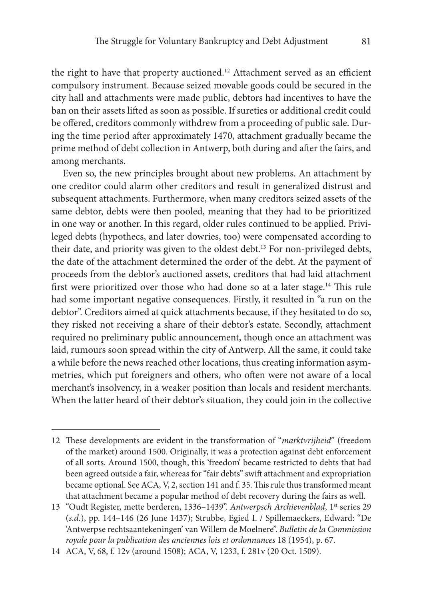the right to have that property auctioned.<sup>12</sup> Attachment served as an efficient compulsory instrument. Because seized movable goods could be secured in the city hall and attachments were made public, debtors had incentives to have the ban on their assets lifed as soon as possible. If sureties or additional credit could be offered, creditors commonly withdrew from a proceeding of public sale. During the time period afer approximately 1470, attachment gradually became the prime method of debt collection in Antwerp, both during and afer the fairs, and among merchants.

Even so, the new principles brought about new problems. An attachment by one creditor could alarm other creditors and result in generalized distrust and subsequent attachments. Furthermore, when many creditors seized assets of the same debtor, debts were then pooled, meaning that they had to be prioritized in one way or another. In this regard, older rules continued to be applied. Privileged debts (hypothecs, and later dowries, too) were compensated according to their date, and priority was given to the oldest debt. 13 For non-privileged debts, the date of the attachment determined the order of the debt. At the payment of proceeds from the debtor's auctioned assets, creditors that had laid attachment first were prioritized over those who had done so at a later stage.<sup>14</sup> This rule had some important negative consequences. Firstly, it resulted in "a run on the debtor". Creditors aimed at quick attachments because, if they hesitated to do so, they risked not receiving a share of their debtor's estate. Secondly, attachment required no preliminary public announcement, though once an attachment was laid, rumours soon spread within the city of Antwerp. All the same, it could take a while before the news reached other locations, thus creating information asymmetries, which put foreigners and others, who ofen were not aware of a local merchant's insolvency, in a weaker position than locals and resident merchants. When the latter heard of their debtor's situation, they could join in the collective

<sup>12</sup> These developments are evident in the transformation of "marktvrijheid" (freedom of the market) around 1500. Originally, it was a protection against debt enforcement of all sorts. Around 1500, though, this 'freedom' became restricted to debts that had been agreed outside a fair, whereas for "fair debts" swift attachment and expropriation became optional. See ACA, V, 2, section 141 and f. 35. This rule thus transformed meant that attachment became a popular method of debt recovery during the fairs as well.

<sup>13 &</sup>quot;Oudt Register, mette berderen, 1336–1439". Antwerpsch Archievenblad, 1st series 29 (s.d.), pp. 144–146 (26 June 1437); Strubbe, Egied I. / Spillemaeckers, Edward: "De 'Antwerpse rechtsaantekeningen' van Willem de Moelnere". Bulletin de la Commission royale pour la publication des anciennes lois et ordonnances 18 (1954), p. 67.

<sup>14</sup> ACA, V, 68, f. 12v (around 1508); ACA, V, 1233, f. 281v (20 Oct. 1509).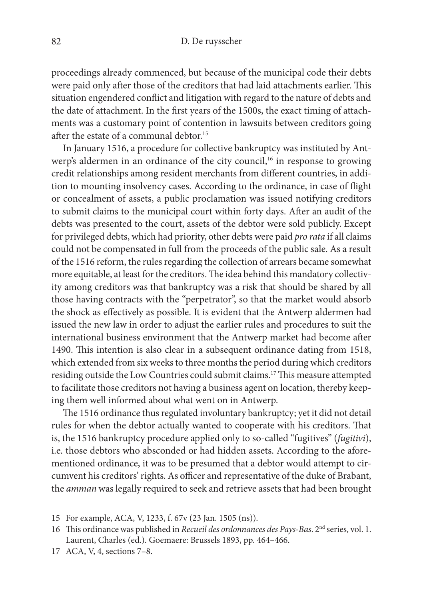proceedings already commenced, but because of the municipal code their debts were paid only after those of the creditors that had laid attachments earlier. This situation engendered confict and litigation with regard to the nature of debts and the date of attachment. In the frst years of the 1500s, the exact timing of attachments was a customary point of contention in lawsuits between creditors going afer the estate of a communal debtor. 15

In January 1516, a procedure for collective bankruptcy was instituted by Antwerp's aldermen in an ordinance of the city council,<sup>16</sup> in response to growing credit relationships among resident merchants from diferent countries, in addition to mounting insolvency cases. According to the ordinance, in case of fight or concealment of assets, a public proclamation was issued notifying creditors to submit claims to the municipal court within forty days. Afer an audit of the debts was presented to the court, assets of the debtor were sold publicly. Except for privileged debts, which had priority, other debts were paid pro rata if all claims could not be compensated in full from the proceeds of the public sale. As a result of the 1516 reform, the rules regarding the collection of arrears became somewhat more equitable, at least for the creditors. The idea behind this mandatory collectivity among creditors was that bankruptcy was a risk that should be shared by all those having contracts with the "perpetrator", so that the market would absorb the shock as efectively as possible. It is evident that the Antwerp aldermen had issued the new law in order to adjust the earlier rules and procedures to suit the international business environment that the Antwerp market had become afer 1490. This intention is also clear in a subsequent ordinance dating from 1518, which extended from six weeks to three months the period during which creditors residing outside the Low Countries could submit claims.<sup>17</sup> This measure attempted to facilitate those creditors not having a business agent on location, thereby keeping them well informed about what went on in Antwerp.

The 1516 ordinance thus regulated involuntary bankruptcy; yet it did not detail rules for when the debtor actually wanted to cooperate with his creditors. That is, the 1516 bankruptcy procedure applied only to so-called "fugitives" (fugitivi), i.e. those debtors who absconded or had hidden assets. According to the aforementioned ordinance, it was to be presumed that a debtor would attempt to circumvent his creditors' rights. As officer and representative of the duke of Brabant, the amman was legally required to seek and retrieve assets that had been brought

<sup>15</sup> For example, ACA, V, 1233, f. 67v (23 Jan. 1505 (ns)).

<sup>16</sup> This ordinance was published in Recueil des ordonnances des Pays-Bas. 2<sup>nd</sup> series, vol. 1. Laurent, Charles (ed.). Goemaere: Brussels 1893, pp. 464–466.

<sup>17</sup> ACA, V, 4, sections 7–8.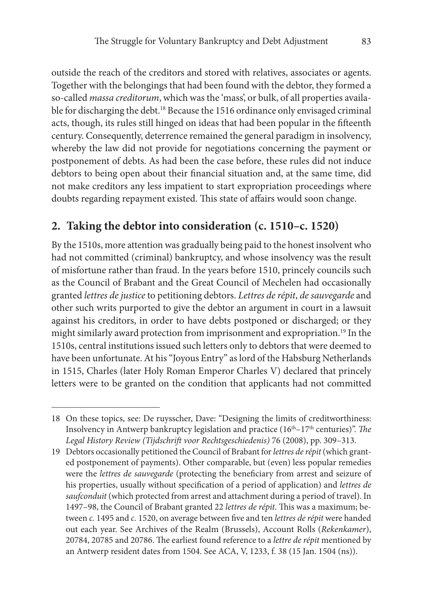outside the reach of the creditors and stored with relatives, associates or agents. Together with the belongings that had been found with the debtor, they formed a so-called massa creditorum, which was the 'mass', or bulk, of all properties available for discharging the debt. 18 Because the 1516 ordinance only envisaged criminal acts, though, its rules still hinged on ideas that had been popular in the fifteenth century. Consequently, deterrence remained the general paradigm in insolvency, whereby the law did not provide for negotiations concerning the payment or postponement of debts. As had been the case before, these rules did not induce debtors to being open about their fnancial situation and, at the same time, did not make creditors any less impatient to start expropriation proceedings where doubts regarding repayment existed. This state of affairs would soon change.

#### **2. Taking the debtor into consideration (c. 1510–c. 1520)**

By the 1510s, more attention was gradually being paid to the honest insolvent who had not committed (criminal) bankruptcy, and whose insolvency was the result of misfortune rather than fraud. In the years before 1510, princely councils such as the Council of Brabant and the Great Council of Mechelen had occasionally granted lettres de justice to petitioning debtors. Lettres de répit, de sauvegarde and other such writs purported to give the debtor an argument in court in a lawsuit against his creditors, in order to have debts postponed or discharged; or they might similarly award protection from imprisonment and expropriation. 19 In the 1510s, central institutions issued such letters only to debtors that were deemed to have been unfortunate. At his "Joyous Entry" as lord of the Habsburg Netherlands in 1515, Charles (later Holy Roman Emperor Charles V) declared that princely letters were to be granted on the condition that applicants had not committed

<sup>18</sup> On these topics, see: De ruysscher, Dave: "Designing the limits of creditworthiness: Insolvency in Antwerp bankruptcy legislation and practice  $(16<sup>th</sup>-17<sup>th</sup>$  centuries)". The Legal History Review (Tijdschrif voor Rechtsgeschiedenis) 76 (2008), pp. 309–313.

<sup>19</sup> Debtors occasionally petitioned the Council of Brabant for lettres de répit (which granted postponement of payments). Other comparable, but (even) less popular remedies were the lettres de sauvegarde (protecting the beneficiary from arrest and seizure of his properties, usually without specifcation of a period of application) and lettres de saufconduit (which protected from arrest and attachment during a period of travel). In 1497–98, the Council of Brabant granted 22 *lettres de répit*. This was a maximum; between c. 1495 and c. 1520, on average between five and ten lettres de répit were handed out each year. See Archives of the Realm (Brussels), Account Rolls (Rekenkamer), 20784, 20785 and 20786. The earliest found reference to a lettre de répit mentioned by an Antwerp resident dates from 1504. See ACA, V, 1233, f. 38 (15 Jan. 1504 (ns)).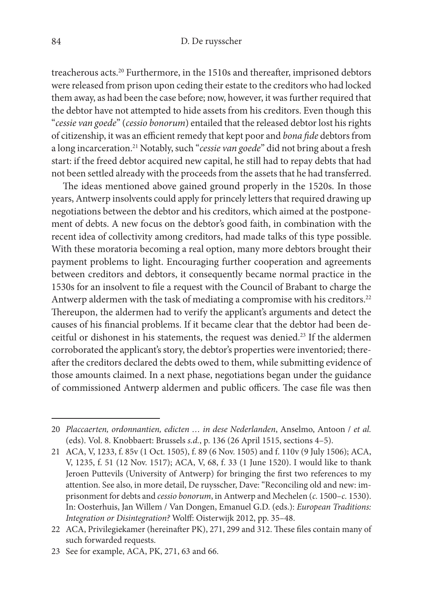treacherous acts. 20 Furthermore, in the 1510s and thereafer, imprisoned debtors were released from prison upon ceding their estate to the creditors who had locked them away, as had been the case before; now, however, it was further required that the debtor have not attempted to hide assets from his creditors. Even though this "cessie van goede" (cessio bonorum) entailed that the released debtor lost his rights of citizenship, it was an efficient remedy that kept poor and bona fide debtors from a long incarceration.<sup>21</sup> Notably, such "*cessie van goede*" did not bring about a fresh start: if the freed debtor acquired new capital, he still had to repay debts that had not been settled already with the proceeds from the assets that he had transferred.

The ideas mentioned above gained ground properly in the 1520s. In those years, Antwerp insolvents could apply for princely letters that required drawing up negotiations between the debtor and his creditors, which aimed at the postponement of debts. A new focus on the debtor's good faith, in combination with the recent idea of collectivity among creditors, had made talks of this type possible. With these moratoria becoming a real option, many more debtors brought their payment problems to light. Encouraging further cooperation and agreements between creditors and debtors, it consequently became normal practice in the 1530s for an insolvent to fle a request with the Council of Brabant to charge the Antwerp aldermen with the task of mediating a compromise with his creditors.<sup>22</sup> Thereupon, the aldermen had to verify the applicant's arguments and detect the causes of his fnancial problems. If it became clear that the debtor had been deceitful or dishonest in his statements, the request was denied. 23 If the aldermen corroborated the applicant's story, the debtor's properties were inventoried; thereafer the creditors declared the debts owed to them, while submitting evidence of those amounts claimed. In a next phase, negotiations began under the guidance of commissioned Antwerp aldermen and public officers. The case file was then

<sup>20</sup> Placcaerten, ordonnantien, edicten … in dese Nederlanden, Anselmo, Antoon / et al. (eds). Vol. 8. Knobbaert: Brussels s.d., p. 136 (26 April 1515, sections 4–5).

<sup>21</sup> ACA, V, 1233, f. 85v (1 Oct. 1505), f. 89 (6 Nov. 1505) and f. 110v (9 July 1506); ACA, V, 1235, f. 51 (12 Nov. 1517); ACA, V, 68, f. 33 (1 June 1520). I would like to thank Jeroen Puttevils (University of Antwerp) for bringing the frst two references to my attention. See also, in more detail, De ruysscher, Dave: "Reconciling old and new: imprisonment for debts and *cessio bonorum*, in Antwerp and Mechelen (c. 1500–c. 1530). In: Oosterhuis, Jan Willem / Van Dongen, Emanuel G.D. (eds.): European Traditions: Integration or Disintegration? Wolf: Oisterwijk 2012, pp. 35–48.

<sup>22</sup> ACA, Privilegiekamer (hereinafter PK), 271, 299 and 312. These files contain many of such forwarded requests.

<sup>23</sup> See for example, ACA, PK, 271, 63 and 66.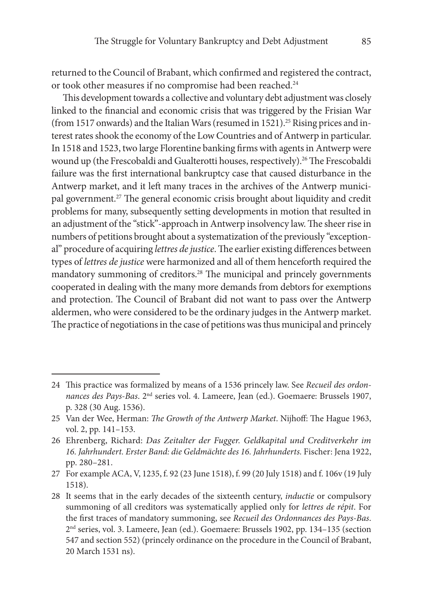returned to the Council of Brabant, which confrmed and registered the contract, or took other measures if no compromise had been reached. 24

This development towards a collective and voluntary debt adjustment was closely linked to the fnancial and economic crisis that was triggered by the Frisian War (from 1517 onwards) and the Italian Wars (resumed in 1521). 25 Rising prices and interest rates shook the economy of the Low Countries and of Antwerp in particular. In 1518 and 1523, two large Florentine banking frms with agents in Antwerp were wound up (the Frescobaldi and Gualterotti houses, respectively).<sup>26</sup> The Frescobaldi failure was the frst international bankruptcy case that caused disturbance in the Antwerp market, and it left many traces in the archives of the Antwerp municipal government.<sup>27</sup> The general economic crisis brought about liquidity and credit problems for many, subsequently setting developments in motion that resulted in an adjustment of the "stick"-approach in Antwerp insolvency law. The sheer rise in numbers of petitions brought about a systematization of the previously "exceptional" procedure of acquiring lettres de justice. The earlier existing differences between types of lettres de justice were harmonized and all of them henceforth required the mandatory summoning of creditors.<sup>28</sup> The municipal and princely governments cooperated in dealing with the many more demands from debtors for exemptions and protection. The Council of Brabant did not want to pass over the Antwerp aldermen, who were considered to be the ordinary judges in the Antwerp market. The practice of negotiations in the case of petitions was thus municipal and princely

<sup>24</sup> This practice was formalized by means of a 1536 princely law. See Recueil des ordonnances des Pays-Bas. 2nd series vol. 4. Lameere, Jean (ed.). Goemaere: Brussels 1907, p. 328 (30 Aug. 1536).

<sup>25</sup> Van der Wee, Herman: The Growth of the Antwerp Market. Nijhoff: The Hague 1963, vol. 2, pp. 141–153.

<sup>26</sup> Ehrenberg, Richard: Das Zeitalter der Fugger. Geldkapital und Creditverkehr im 16. Jahrhundert. Erster Band: die Geldmächte des 16. Jahrhunderts. Fischer: Jena 1922, pp. 280–281.

<sup>27</sup> For example ACA, V, 1235, f. 92 (23 June 1518), f. 99 (20 July 1518) and f. 106v (19 July 1518).

<sup>28</sup> It seems that in the early decades of the sixteenth century, *inductie* or compulsory summoning of all creditors was systematically applied only for lettres de répit. For the frst traces of mandatory summoning, see Recueil des Ordonnances des Pays-Bas. 2nd series, vol. 3. Lameere, Jean (ed.). Goemaere: Brussels 1902, pp. 134–135 (section 547 and section 552) (princely ordinance on the procedure in the Council of Brabant, 20 March 1531 ns).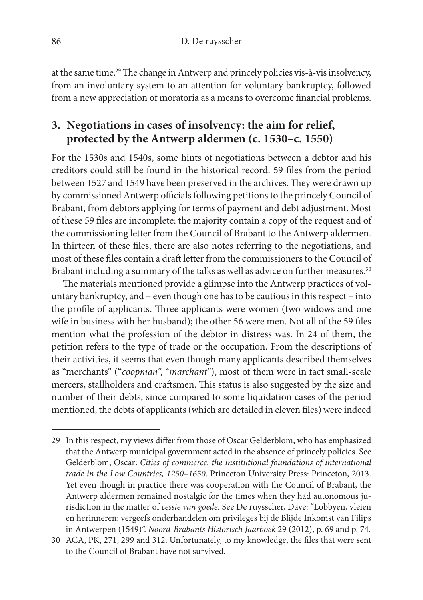at the same time.<sup>29</sup> The change in Antwerp and princely policies vis-à-vis insolvency, from an involuntary system to an attention for voluntary bankruptcy, followed from a new appreciation of moratoria as a means to overcome fnancial problems.

## **3. Negotiations in cases of insolvency: the aim for relief, protected by the Antwerp aldermen (c. 1530–c. 1550)**

For the 1530s and 1540s, some hints of negotiations between a debtor and his creditors could still be found in the historical record. 59 fles from the period between 1527 and 1549 have been preserved in the archives. They were drawn up by commissioned Antwerp officials following petitions to the princely Council of Brabant, from debtors applying for terms of payment and debt adjustment. Most of these 59 fles are incomplete: the majority contain a copy of the request and of the commissioning letter from the Council of Brabant to the Antwerp aldermen. In thirteen of these fles, there are also notes referring to the negotiations, and most of these fles contain a draf letter from the commissioners to the Council of Brabant including a summary of the talks as well as advice on further measures. $^{30}$ 

The materials mentioned provide a glimpse into the Antwerp practices of voluntary bankruptcy, and – even though one has to be cautious in this respect – into the profile of applicants. Three applicants were women (two widows and one wife in business with her husband); the other 56 were men. Not all of the 59 fles mention what the profession of the debtor in distress was. In 24 of them, the petition refers to the type of trade or the occupation. From the descriptions of their activities, it seems that even though many applicants described themselves as "merchants" ("coopman", "marchant"), most of them were in fact small-scale mercers, stallholders and craftsmen. This status is also suggested by the size and number of their debts, since compared to some liquidation cases of the period mentioned, the debts of applicants (which are detailed in eleven fles) were indeed

<sup>29</sup> In this respect, my views difer from those of Oscar Gelderblom, who has emphasized that the Antwerp municipal government acted in the absence of princely policies. See Gelderblom, Oscar: Cities of commerce: the institutional foundations of international trade in the Low Countries, 1250–1650. Princeton University Press: Princeton, 2013. Yet even though in practice there was cooperation with the Council of Brabant, the Antwerp aldermen remained nostalgic for the times when they had autonomous jurisdiction in the matter of cessie van goede. See De ruysscher, Dave: "Lobbyen, vleien en herinneren: vergeefs onderhandelen om privileges bij de Blijde Inkomst van Filips in Antwerpen (1549)". Noord-Brabants Historisch Jaarboek 29 (2012), p. 69 and p. 74.

<sup>30</sup> ACA, PK, 271, 299 and 312. Unfortunately, to my knowledge, the fles that were sent to the Council of Brabant have not survived.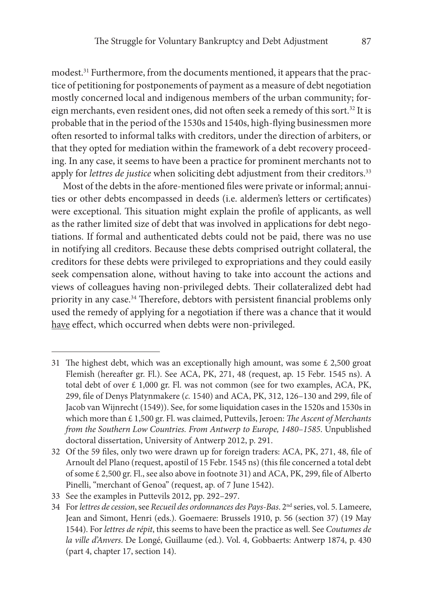modest. 31 Furthermore, from the documents mentioned, it appears that the practice of petitioning for postponements of payment as a measure of debt negotiation mostly concerned local and indigenous members of the urban community; foreign merchants, even resident ones, did not often seek a remedy of this sort.<sup>32</sup> It is probable that in the period of the 1530s and 1540s, high-fying businessmen more ofen resorted to informal talks with creditors, under the direction of arbiters, or that they opted for mediation within the framework of a debt recovery proceeding. In any case, it seems to have been a practice for prominent merchants not to apply for *lettres de justice* when soliciting debt adjustment from their creditors.<sup>33</sup>

Most of the debts in the afore-mentioned fles were private or informal; annuities or other debts encompassed in deeds (i.e. aldermen's letters or certifcates) were exceptional. This situation might explain the profile of applicants, as well as the rather limited size of debt that was involved in applications for debt negotiations. If formal and authenticated debts could not be paid, there was no use in notifying all creditors. Because these debts comprised outright collateral, the creditors for these debts were privileged to expropriations and they could easily seek compensation alone, without having to take into account the actions and views of colleagues having non-privileged debts. Their collateralized debt had priority in any case.<sup>34</sup> Therefore, debtors with persistent financial problems only used the remedy of applying for a negotiation if there was a chance that it would have effect, which occurred when debts were non-privileged.

<sup>31</sup> The highest debt, which was an exceptionally high amount, was some  $\epsilon$  2,500 groat Flemish (hereafer gr. Fl.). See ACA, PK, 271, 48 (request, ap. 15 Febr. 1545 ns). A total debt of over £ 1,000 gr. Fl. was not common (see for two examples, ACA, PK, 299, fle of Denys Platynmakere (c. 1540) and ACA, PK, 312, 126–130 and 299, fle of Jacob van Wijnrecht (1549)). See, for some liquidation cases in the 1520s and 1530s in which more than  $£ 1,500$  gr. Fl. was claimed, Puttevils, Jeroen: The Ascent of Merchants from the Southern Low Countries. From Antwerp to Europe, 1480–1585. Unpublished doctoral dissertation, University of Antwerp 2012, p. 291.

<sup>32</sup> Of the 59 fles, only two were drawn up for foreign traders: ACA, PK, 271, 48, fle of Arnoult del Plano (request, apostil of 15 Febr. 1545 ns) (this fle concerned a total debt of some £ 2,500 gr. Fl., see also above in footnote 31) and ACA, PK, 299, fle of Alberto Pinelli, "merchant of Genoa" (request, ap. of 7 June 1542).

<sup>33</sup> See the examples in Puttevils 2012, pp. 292–297.

<sup>34</sup> For lettres de cession, see Recueil des ordonnances des Pays-Bas. 2nd series, vol. 5. Lameere, Jean and Simont, Henri (eds.). Goemaere: Brussels 1910, p. 56 (section 37) (19 May 1544). For lettres de répit, this seems to have been the practice as well. See Coutumes de la ville d'Anvers. De Longé, Guillaume (ed.). Vol. 4, Gobbaerts: Antwerp 1874, p. 430 (part 4, chapter 17, section 14).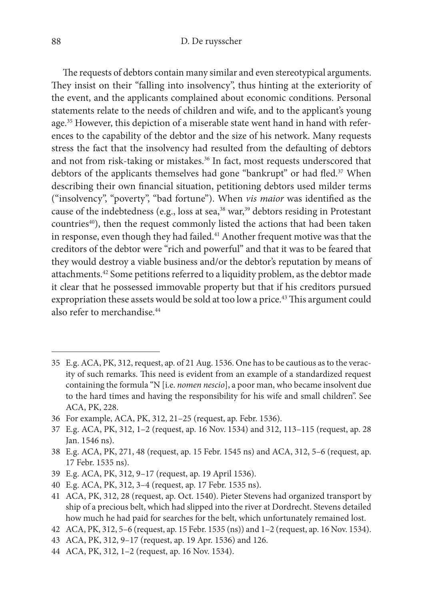The requests of debtors contain many similar and even stereotypical arguments. They insist on their "falling into insolvency", thus hinting at the exteriority of the event, and the applicants complained about economic conditions. Personal statements relate to the needs of children and wife, and to the applicant's young age. 35 However, this depiction of a miserable state went hand in hand with references to the capability of the debtor and the size of his network. Many requests stress the fact that the insolvency had resulted from the defaulting of debtors and not from risk-taking or mistakes. 36 In fact, most requests underscored that debtors of the applicants themselves had gone "bankrupt" or had fled.<sup>37</sup> When describing their own fnancial situation, petitioning debtors used milder terms ("insolvency", "poverty", "bad fortune"). When vis maior was identifed as the cause of the indebtedness (e.g., loss at sea,<sup>38</sup> war,<sup>39</sup> debtors residing in Protestant countries<sup>40</sup>), then the request commonly listed the actions that had been taken in response, even though they had failed. 41 Another frequent motive was that the creditors of the debtor were "rich and powerful" and that it was to be feared that they would destroy a viable business and/or the debtor's reputation by means of attachments. 42 Some petitions referred to a liquidity problem, as the debtor made it clear that he possessed immovable property but that if his creditors pursued expropriation these assets would be sold at too low a price.<sup>43</sup> This argument could also refer to merchandise. 44

- 39 E.g. ACA, PK, 312, 9–17 (request, ap. 19 April 1536).
- 40 E.g. ACA, PK, 312, 3–4 (request, ap. 17 Febr. 1535 ns).
- 41 ACA, PK, 312, 28 (request, ap. Oct. 1540). Pieter Stevens had organized transport by ship of a precious belt, which had slipped into the river at Dordrecht. Stevens detailed how much he had paid for searches for the belt, which unfortunately remained lost.
- 42 ACA, PK, 312, 5–6 (request, ap. 15 Febr. 1535 (ns)) and 1–2 (request, ap. 16 Nov. 1534).
- 43 ACA, PK, 312, 9–17 (request, ap. 19 Apr. 1536) and 126.
- 44 ACA, PK, 312, 1–2 (request, ap. 16 Nov. 1534).

<sup>35</sup> E.g. ACA, PK, 312, request, ap. of 21 Aug. 1536. One has to be cautious as to the veracity of such remarks. This need is evident from an example of a standardized request containing the formula "N [i.e. nomen nescio], a poor man, who became insolvent due to the hard times and having the responsibility for his wife and small children". See ACA, PK, 228.

<sup>36</sup> For example, ACA, PK, 312, 21–25 (request, ap. Febr. 1536).

<sup>37</sup> E.g. ACA, PK, 312, 1–2 (request, ap. 16 Nov. 1534) and 312, 113–115 (request, ap. 28 Jan. 1546 ns).

<sup>38</sup> E.g. ACA, PK, 271, 48 (request, ap. 15 Febr. 1545 ns) and ACA, 312, 5–6 (request, ap. 17 Febr. 1535 ns).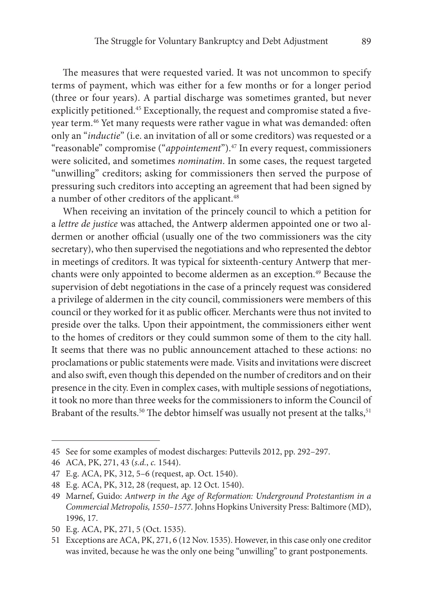The measures that were requested varied. It was not uncommon to specify terms of payment, which was either for a few months or for a longer period (three or four years). A partial discharge was sometimes granted, but never explicitly petitioned. 45 Exceptionally, the request and compromise stated a fveyear term. 46 Yet many requests were rather vague in what was demanded: ofen only an "inductie" (i.e. an invitation of all or some creditors) was requested or a "reasonable" compromise ("appointement"). 47 In every request, commissioners were solicited, and sometimes nominatim. In some cases, the request targeted "unwilling" creditors; asking for commissioners then served the purpose of pressuring such creditors into accepting an agreement that had been signed by a number of other creditors of the applicant. 48

When receiving an invitation of the princely council to which a petition for a lettre de justice was attached, the Antwerp aldermen appointed one or two aldermen or another official (usually one of the two commissioners was the city secretary), who then supervised the negotiations and who represented the debtor in meetings of creditors. It was typical for sixteenth-century Antwerp that merchants were only appointed to become aldermen as an exception. 49 Because the supervision of debt negotiations in the case of a princely request was considered a privilege of aldermen in the city council, commissioners were members of this council or they worked for it as public officer. Merchants were thus not invited to preside over the talks. Upon their appointment, the commissioners either went to the homes of creditors or they could summon some of them to the city hall. It seems that there was no public announcement attached to these actions: no proclamations or public statements were made. Visits and invitations were discreet and also swif, even though this depended on the number of creditors and on their presence in the city. Even in complex cases, with multiple sessions of negotiations, it took no more than three weeks for the commissioners to inform the Council of Brabant of the results.<sup>50</sup> The debtor himself was usually not present at the talks,<sup>51</sup>

<sup>45</sup> See for some examples of modest discharges: Puttevils 2012, pp. 292–297.

<sup>46</sup> ACA, PK, 271, 43 (s.d., c. 1544).

<sup>47</sup> E.g. ACA, PK, 312, 5–6 (request, ap. Oct. 1540).

<sup>48</sup> E.g. ACA, PK, 312, 28 (request, ap. 12 Oct. 1540).

<sup>49</sup> Marnef, Guido: Antwerp in the Age of Reformation: Underground Protestantism in a Commercial Metropolis, 1550–1577. Johns Hopkins University Press: Baltimore (MD), 1996, 17.

<sup>50</sup> E.g. ACA, PK, 271, 5 (Oct. 1535).

<sup>51</sup> Exceptions are ACA, PK, 271, 6 (12 Nov. 1535). However, in this case only one creditor was invited, because he was the only one being "unwilling" to grant postponements.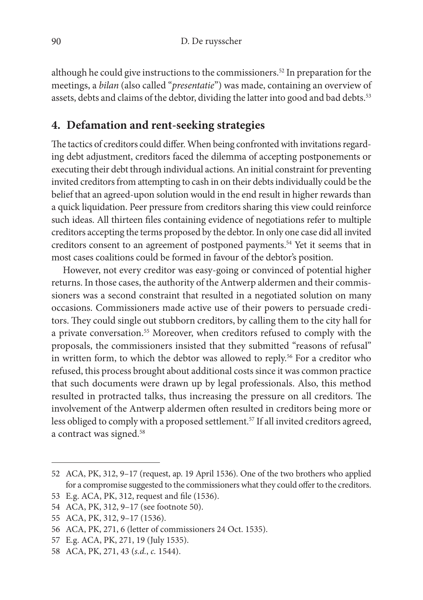although he could give instructions to the commissioners. 52 In preparation for the meetings, a bilan (also called "presentatie") was made, containing an overview of assets, debts and claims of the debtor, dividing the latter into good and bad debts. 53

### **4. Defamation and rent-seeking strategies**

The tactics of creditors could differ. When being confronted with invitations regarding debt adjustment, creditors faced the dilemma of accepting postponements or executing their debt through individual actions. An initial constraint for preventing invited creditors from attempting to cash in on their debts individually could be the belief that an agreed-upon solution would in the end result in higher rewards than a quick liquidation. Peer pressure from creditors sharing this view could reinforce such ideas. All thirteen fles containing evidence of negotiations refer to multiple creditors accepting the terms proposed by the debtor. In only one case did all invited creditors consent to an agreement of postponed payments. 54 Yet it seems that in most cases coalitions could be formed in favour of the debtor's position.

However, not every creditor was easy-going or convinced of potential higher returns. In those cases, the authority of the Antwerp aldermen and their commissioners was a second constraint that resulted in a negotiated solution on many occasions. Commissioners made active use of their powers to persuade creditors. They could single out stubborn creditors, by calling them to the city hall for a private conversation. 55 Moreover, when creditors refused to comply with the proposals, the commissioners insisted that they submitted "reasons of refusal" in written form, to which the debtor was allowed to reply. 56 For a creditor who refused, this process brought about additional costs since it was common practice that such documents were drawn up by legal professionals. Also, this method resulted in protracted talks, thus increasing the pressure on all creditors. The involvement of the Antwerp aldermen ofen resulted in creditors being more or less obliged to comply with a proposed settlement. 57 If all invited creditors agreed, a contract was signed. 58

<sup>52</sup> ACA, PK, 312, 9–17 (request, ap. 19 April 1536). One of the two brothers who applied for a compromise suggested to the commissioners what they could offer to the creditors.

<sup>53</sup> E.g. ACA, PK, 312, request and fle (1536).

<sup>54</sup> ACA, PK, 312, 9–17 (see footnote 50).

<sup>55</sup> ACA, PK, 312, 9–17 (1536).

<sup>56</sup> ACA, PK, 271, 6 (letter of commissioners 24 Oct. 1535).

<sup>57</sup> E.g. ACA, PK, 271, 19 (July 1535).

<sup>58</sup> ACA, PK, 271, 43 (s.d., c. 1544).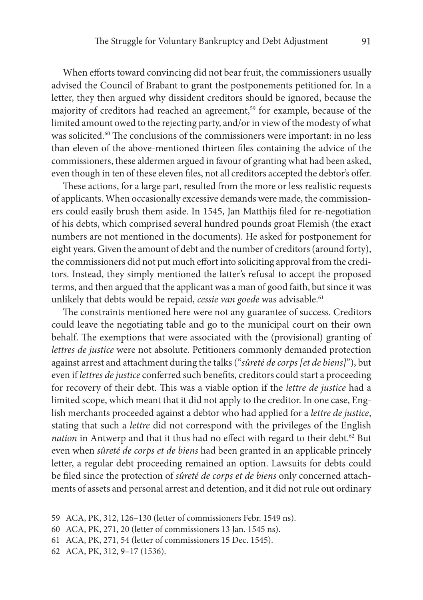When efforts toward convincing did not bear fruit, the commissioners usually advised the Council of Brabant to grant the postponements petitioned for. In a letter, they then argued why dissident creditors should be ignored, because the majority of creditors had reached an agreement,<sup>59</sup> for example, because of the limited amount owed to the rejecting party, and/or in view of the modesty of what was solicited.<sup>60</sup> The conclusions of the commissioners were important: in no less than eleven of the above-mentioned thirteen fles containing the advice of the commissioners, these aldermen argued in favour of granting what had been asked, even though in ten of these eleven fles, not all creditors accepted the debtor's ofer.

These actions, for a large part, resulted from the more or less realistic requests of applicants. When occasionally excessive demands were made, the commissioners could easily brush them aside. In 1545, Jan Matthijs fled for re-negotiation of his debts, which comprised several hundred pounds groat Flemish (the exact numbers are not mentioned in the documents). He asked for postponement for eight years. Given the amount of debt and the number of creditors (around forty), the commissioners did not put much effort into soliciting approval from the creditors. Instead, they simply mentioned the latter's refusal to accept the proposed terms, and then argued that the applicant was a man of good faith, but since it was unlikely that debts would be repaid, cessie van goede was advisable.<sup>61</sup>

The constraints mentioned here were not any guarantee of success. Creditors could leave the negotiating table and go to the municipal court on their own behalf. The exemptions that were associated with the (provisional) granting of lettres de justice were not absolute. Petitioners commonly demanded protection against arrest and attachment during the talks ("sûreté de corps [et de biens]"), but even if lettres de justice conferred such benefts, creditors could start a proceeding for recovery of their debt. This was a viable option if the lettre de justice had a limited scope, which meant that it did not apply to the creditor. In one case, English merchants proceeded against a debtor who had applied for a lettre de justice, stating that such a lettre did not correspond with the privileges of the English nation in Antwerp and that it thus had no effect with regard to their debt.<sup>62</sup> But even when sûreté de corps et de biens had been granted in an applicable princely letter, a regular debt proceeding remained an option. Lawsuits for debts could be fled since the protection of sûreté de corps et de biens only concerned attachments of assets and personal arrest and detention, and it did not rule out ordinary

<sup>59</sup> ACA, PK, 312, 126–130 (letter of commissioners Febr. 1549 ns).

<sup>60</sup> ACA, PK, 271, 20 (letter of commissioners 13 Jan. 1545 ns).

<sup>61</sup> ACA, PK, 271, 54 (letter of commissioners 15 Dec. 1545).

<sup>62</sup> ACA, PK, 312, 9–17 (1536).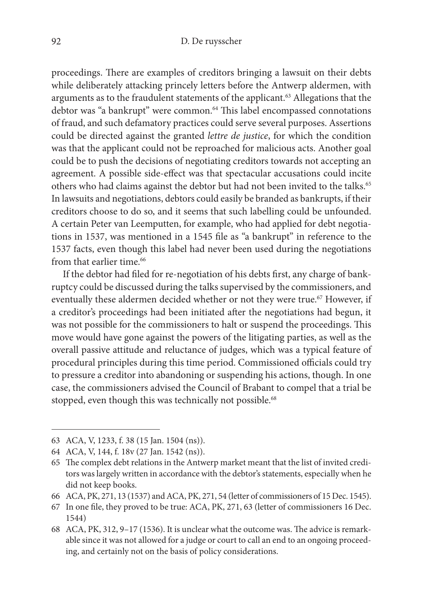proceedings. There are examples of creditors bringing a lawsuit on their debts while deliberately attacking princely letters before the Antwerp aldermen, with arguments as to the fraudulent statements of the applicant. 63 Allegations that the debtor was "a bankrupt" were common. <sup>64</sup> Tis label encompassed connotations of fraud, and such defamatory practices could serve several purposes. Assertions could be directed against the granted lettre de justice, for which the condition was that the applicant could not be reproached for malicious acts. Another goal could be to push the decisions of negotiating creditors towards not accepting an agreement. A possible side-efect was that spectacular accusations could incite others who had claims against the debtor but had not been invited to the talks. 65 In lawsuits and negotiations, debtors could easily be branded as bankrupts, if their creditors choose to do so, and it seems that such labelling could be unfounded. A certain Peter van Leemputten, for example, who had applied for debt negotiations in 1537, was mentioned in a 1545 fle as "a bankrupt" in reference to the 1537 facts, even though this label had never been used during the negotiations from that earlier time. 66

If the debtor had fled for re-negotiation of his debts frst, any charge of bankruptcy could be discussed during the talks supervised by the commissioners, and eventually these aldermen decided whether or not they were true. 67 However, if a creditor's proceedings had been initiated afer the negotiations had begun, it was not possible for the commissioners to halt or suspend the proceedings. This move would have gone against the powers of the litigating parties, as well as the overall passive attitude and reluctance of judges, which was a typical feature of procedural principles during this time period. Commissioned officials could try to pressure a creditor into abandoning or suspending his actions, though. In one case, the commissioners advised the Council of Brabant to compel that a trial be stopped, even though this was technically not possible.<sup>68</sup>

<sup>63</sup> ACA, V, 1233, f. 38 (15 Jan. 1504 (ns)).

<sup>64</sup> ACA, V, 144, f. 18v (27 Jan. 1542 (ns)).

<sup>65</sup> The complex debt relations in the Antwerp market meant that the list of invited creditors was largely written in accordance with the debtor's statements, especially when he did not keep books.

<sup>66</sup> ACA, PK, 271, 13 (1537) and ACA, PK, 271, 54 (letter of commissioners of 15 Dec. 1545).

<sup>67</sup> In one fle, they proved to be true: ACA, PK, 271, 63 (letter of commissioners 16 Dec. 1544)

<sup>68</sup> ACA, PK, 312,  $9-17$  (1536). It is unclear what the outcome was. The advice is remarkable since it was not allowed for a judge or court to call an end to an ongoing proceeding, and certainly not on the basis of policy considerations.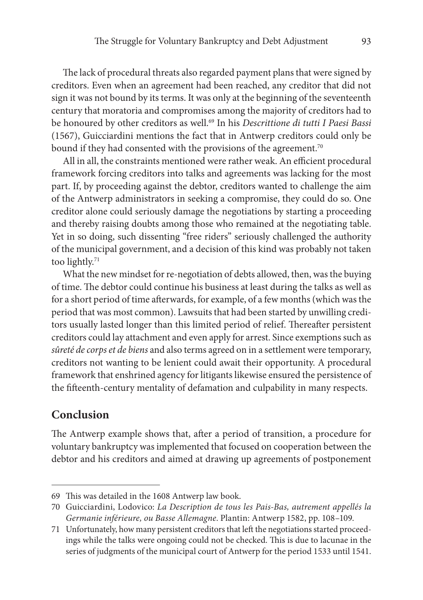The lack of procedural threats also regarded payment plans that were signed by creditors. Even when an agreement had been reached, any creditor that did not sign it was not bound by its terms. It was only at the beginning of the seventeenth century that moratoria and compromises among the majority of creditors had to be honoured by other creditors as well. 69 In his Descrittione di tutti I Paesi Bassi (1567), Guicciardini mentions the fact that in Antwerp creditors could only be bound if they had consented with the provisions of the agreement. $^{70}$ 

All in all, the constraints mentioned were rather weak. An efficient procedural framework forcing creditors into talks and agreements was lacking for the most part. If, by proceeding against the debtor, creditors wanted to challenge the aim of the Antwerp administrators in seeking a compromise, they could do so. One creditor alone could seriously damage the negotiations by starting a proceeding and thereby raising doubts among those who remained at the negotiating table. Yet in so doing, such dissenting "free riders" seriously challenged the authority of the municipal government, and a decision of this kind was probably not taken too lightly. 71

What the new mindset for re-negotiation of debts allowed, then, was the buying of time. The debtor could continue his business at least during the talks as well as for a short period of time afterwards, for example, of a few months (which was the period that was most common). Lawsuits that had been started by unwilling creditors usually lasted longer than this limited period of relief. Thereafter persistent creditors could lay attachment and even apply for arrest. Since exemptions such as sûreté de corps et de biens and also terms agreed on in a settlement were temporary, creditors not wanting to be lenient could await their opportunity. A procedural framework that enshrined agency for litigants likewise ensured the persistence of the ffeenth-century mentality of defamation and culpability in many respects.

#### **Conclusion**

The Antwerp example shows that, after a period of transition, a procedure for voluntary bankruptcy was implemented that focused on cooperation between the debtor and his creditors and aimed at drawing up agreements of postponement

<sup>69</sup> This was detailed in the 1608 Antwerp law book.

<sup>70</sup> Guicciardini, Lodovico: La Description de tous les Pais-Bas, autrement appellés la Germanie inférieure, ou Basse Allemagne. Plantin: Antwerp 1582, pp. 108–109.

<sup>71</sup> Unfortunately, how many persistent creditors that lef the negotiations started proceedings while the talks were ongoing could not be checked. This is due to lacunae in the series of judgments of the municipal court of Antwerp for the period 1533 until 1541.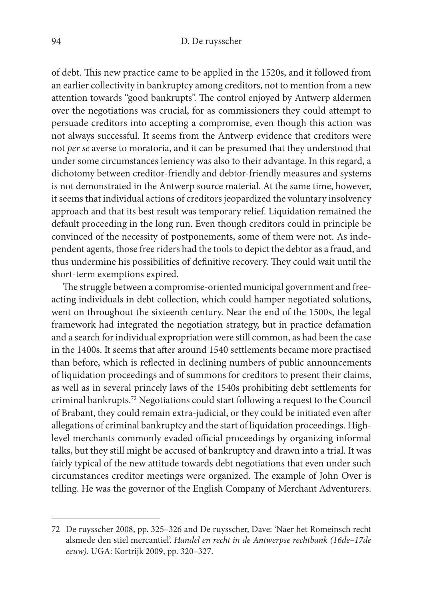of debt. This new practice came to be applied in the 1520s, and it followed from an earlier collectivity in bankruptcy among creditors, not to mention from a new attention towards "good bankrupts". The control enjoyed by Antwerp aldermen over the negotiations was crucial, for as commissioners they could attempt to persuade creditors into accepting a compromise, even though this action was not always successful. It seems from the Antwerp evidence that creditors were not per se averse to moratoria, and it can be presumed that they understood that under some circumstances leniency was also to their advantage. In this regard, a dichotomy between creditor-friendly and debtor-friendly measures and systems is not demonstrated in the Antwerp source material. At the same time, however, it seems that individual actions of creditors jeopardized the voluntary insolvency approach and that its best result was temporary relief. Liquidation remained the default proceeding in the long run. Even though creditors could in principle be convinced of the necessity of postponements, some of them were not. As independent agents, those free riders had the tools to depict the debtor as a fraud, and thus undermine his possibilities of definitive recovery. They could wait until the short-term exemptions expired.

The struggle between a compromise-oriented municipal government and freeacting individuals in debt collection, which could hamper negotiated solutions, went on throughout the sixteenth century. Near the end of the 1500s, the legal framework had integrated the negotiation strategy, but in practice defamation and a search for individual expropriation were still common, as had been the case in the 1400s. It seems that after around 1540 settlements became more practised than before, which is refected in declining numbers of public announcements of liquidation proceedings and of summons for creditors to present their claims, as well as in several princely laws of the 1540s prohibiting debt settlements for criminal bankrupts. 72 Negotiations could start following a request to the Council of Brabant, they could remain extra-judicial, or they could be initiated even afer allegations of criminal bankruptcy and the start of liquidation proceedings. Highlevel merchants commonly evaded official proceedings by organizing informal talks, but they still might be accused of bankruptcy and drawn into a trial. It was fairly typical of the new attitude towards debt negotiations that even under such circumstances creditor meetings were organized. The example of John Over is telling. He was the governor of the English Company of Merchant Adventurers.

<sup>72</sup> De ruysscher 2008, pp. 325–326 and De ruysscher, Dave: 'Naer het Romeinsch recht alsmede den stiel mercantiel'. Handel en recht in de Antwerpse rechtbank (16de–17de eeuw). UGA: Kortrijk 2009, pp. 320–327.